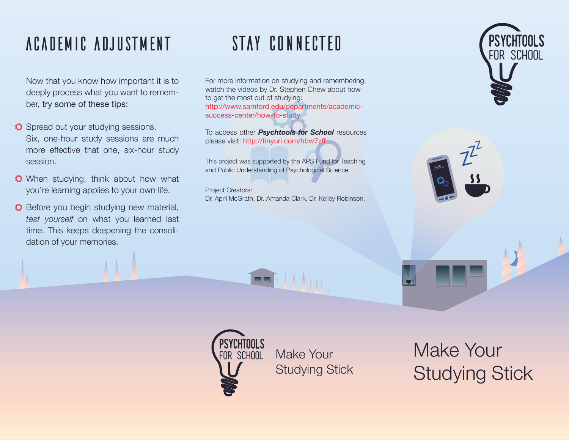## AcadeMic AdjusTment

Now that you know how important it is to deeply process what you want to remember, try some of these tips:

- **O** Spread out your studying sessions. Six, one-hour study sessions are much more effective that one, six-hour study session.
- **O** When studying, think about how what you're learning applies to your own life.
- **O** Before you begin studying new material, *test yourself* on what you learned last time. This keeps deepening the consolidation of your memories.

## sTaY cOnnecTed

For more information on studying and remembering, watch the videos by Dr. Stephen Chew about how to get the most out of studying: http://www.samford.edu/departments/academicsuccess-center/how-to-study

To access other *Psychtools for School* resources please visit: http://tinyurl.com/hbw7zff

This project was supported by the APS Fund for Teaching and Public Understanding of Psychological Science.

Project Creators: Dr. April McGrath, Dr. Amanda Clark, Dr. Kelley Robinson.









Make Your Studying Stick

Make Your Studying Stick